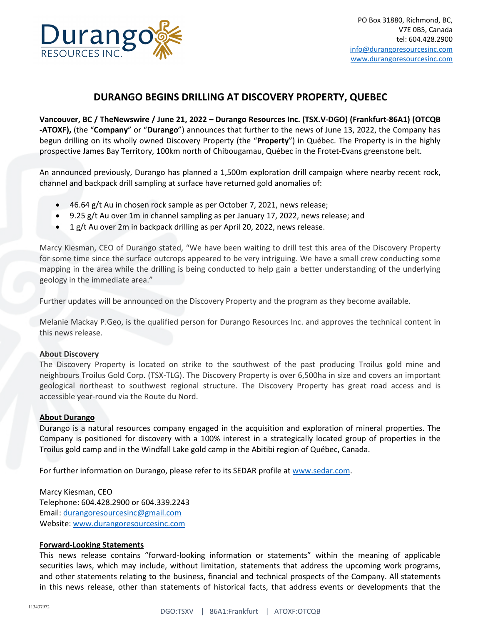

## **DURANGO BEGINS DRILLING AT DISCOVERY PROPERTY, QUEBEC**

**Vancouver, BC / TheNewswire / June 21, 2022 – Durango Resources Inc. (TSX.V-DGO) (Frankfurt-86A1) (OTCQB -ATOXF),** (the "**Company**" or "**Durango**") announces that further to the news of June 13, 2022, the Company has begun drilling on its wholly owned Discovery Property (the "**Property**") in Québec. The Property is in the highly prospective James Bay Territory, 100km north of Chibougamau, Québec in the Frotet-Evans greenstone belt.

An announced previously, Durango has planned a 1,500m exploration drill campaign where nearby recent rock, channel and backpack drill sampling at surface have returned gold anomalies of:

- 46.64 g/t Au in chosen rock sample as per October 7, 2021, news release;
- 9.25 g/t Au over 1m in channel sampling as per January 17, 2022, news release; and
- 1 g/t Au over 2m in backpack drilling as per April 20, 2022, news release.

Marcy Kiesman, CEO of Durango stated, "We have been waiting to drill test this area of the Discovery Property for some time since the surface outcrops appeared to be very intriguing. We have a small crew conducting some mapping in the area while the drilling is being conducted to help gain a better understanding of the underlying geology in the immediate area."

Further updates will be announced on the Discovery Property and the program as they become available.

Melanie Mackay P.Geo, is the qualified person for Durango Resources Inc. and approves the technical content in this news release.

## **About Discovery**

The Discovery Property is located on strike to the southwest of the past producing Troilus gold mine and neighbours Troilus Gold Corp. (TSX-TLG). The Discovery Property is over 6,500ha in size and covers an important geological northeast to southwest regional structure. The Discovery Property has great road access and is accessible year-round via the Route du Nord.

## **About Durango**

Durango is a natural resources company engaged in the acquisition and exploration of mineral properties. The Company is positioned for discovery with a 100% interest in a strategically located group of properties in the Troilus gold camp and in the Windfall Lake gold camp in the Abitibi region of Québec, Canada.

For further information on Durango, please refer to its SEDAR profile at [www.sedar.com.](http://www.sedar.com/)

Marcy Kiesman, CEO Telephone: 604.428.2900 or 604.339.2243 Email: [durangoresourcesinc@gmail.com](mailto:durangoresourcesinc@gmail.com) Website[: www.durangoresourcesinc.com](http://www.durangoresourcesinc.com/)

## **Forward-Looking Statements**

This news release contains "forward-looking information or statements" within the meaning of applicable securities laws, which may include, without limitation, statements that address the upcoming work programs, and other statements relating to the business, financial and technical prospects of the Company. All statements in this news release, other than statements of historical facts, that address events or developments that the